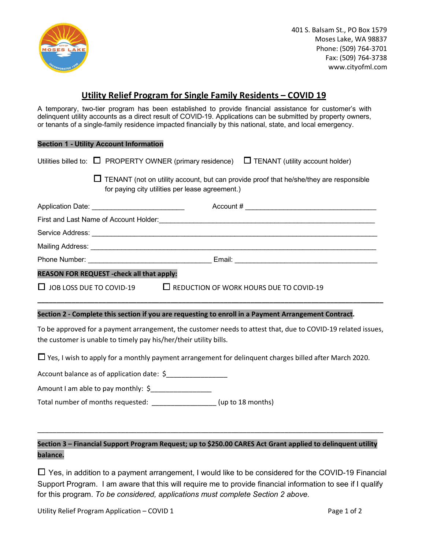

401 S. Balsam St., PO Box 1579 Moses Lake, WA 98837 Phone: (509) 764-3701 Fax: (509) 764-3738 www.cityofml.com

## **Utility Relief Program for Single Family Residents – COVID 19**

A temporary, two-tier program has been established to provide financial assistance for customer's with delinquent utility accounts as a direct result of COVID-19. Applications can be submitted by property owners, or tenants of a single-family residence impacted financially by this national, state, and local emergency.

## **Section 1 - Utility Account Information**

|                                                                                                                                                                                   | Utilities billed to: $\Box$ PROPERTY OWNER (primary residence) $\Box$ TENANT (utility account holder)                                     |  |  |  |  |
|-----------------------------------------------------------------------------------------------------------------------------------------------------------------------------------|-------------------------------------------------------------------------------------------------------------------------------------------|--|--|--|--|
|                                                                                                                                                                                   | TENANT (not on utility account, but can provide proof that he/she/they are responsible<br>for paying city utilities per lease agreement.) |  |  |  |  |
|                                                                                                                                                                                   | Application Date: ____________________________                                                                                            |  |  |  |  |
|                                                                                                                                                                                   |                                                                                                                                           |  |  |  |  |
|                                                                                                                                                                                   |                                                                                                                                           |  |  |  |  |
|                                                                                                                                                                                   |                                                                                                                                           |  |  |  |  |
|                                                                                                                                                                                   |                                                                                                                                           |  |  |  |  |
| REASON FOR REQUEST - check all that apply:                                                                                                                                        |                                                                                                                                           |  |  |  |  |
|                                                                                                                                                                                   | $\Box$ JOB LOSS DUE TO COVID-19 $\Box$ REDUCTION OF WORK HOURS DUE TO COVID-19                                                            |  |  |  |  |
|                                                                                                                                                                                   | Section 2 - Complete this section if you are requesting to enroll in a Payment Arrangement Contract.                                      |  |  |  |  |
| To be approved for a payment arrangement, the customer needs to attest that, due to COVID-19 related issues,<br>the customer is unable to timely pay his/her/their utility bills. |                                                                                                                                           |  |  |  |  |
| $\Box$ Yes, I wish to apply for a monthly payment arrangement for delinguent charges billed after March 2020.                                                                     |                                                                                                                                           |  |  |  |  |
| Account balance as of application date: \$                                                                                                                                        |                                                                                                                                           |  |  |  |  |
|                                                                                                                                                                                   |                                                                                                                                           |  |  |  |  |

Amount I am able to pay monthly: \$\_\_\_\_\_\_\_\_\_\_\_\_\_\_\_\_

Total number of months requested: \_\_\_\_\_\_\_\_\_\_\_\_\_\_\_\_\_ (up to 18 months)

## **Section 3 – Financial Support Program Request; up to \$250.00 CARES Act Grant applied to delinquent utility balance.**

\_\_\_\_\_\_\_\_\_\_\_\_\_\_\_\_\_\_\_\_\_\_\_\_\_\_\_\_\_\_\_\_\_\_\_\_\_\_\_\_\_\_\_\_\_\_\_\_\_\_\_\_\_\_\_\_\_\_\_\_\_\_\_\_\_\_\_\_\_\_\_\_\_\_\_\_\_\_\_\_\_\_\_\_\_\_\_\_\_\_\_

☐ Yes, in addition to a payment arrangement, I would like to be considered for the COVID-19 Financial Support Program. I am aware that this will require me to provide financial information to see if I qualify for this program. *To be considered, applications must complete Section 2 above.*